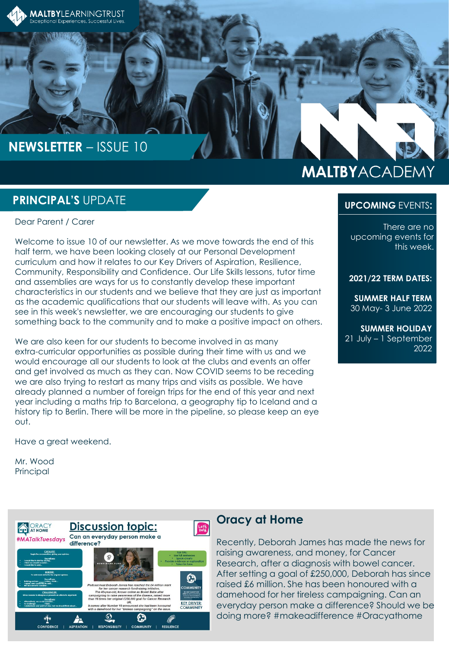

## **NEWSLETTER** – ISSUE 10

# **MALTBYACADEMY**

#### **PRINCIPAL'S** UPDATE

Dear Parent / Carer

Welcome to issue 10 of our newsletter. As we move towards the end of this half term, we have been looking closely at our Personal Development curriculum and how it relates to our Key Drivers of Aspiration, Resilience, Community, Responsibility and Confidence. Our Life Skills lessons, tutor time and assemblies are ways for us to constantly develop these important characteristics in our students and we believe that they are just as important as the academic qualifications that our students will leave with. As you can see in this week's newsletter, we are encouraging our students to give something back to the community and to make a positive impact on others.

We are also keen for our students to become involved in as many extra-curricular opportunities as possible during their time with us and we would encourage all our students to look at the clubs and events an offer and get involved as much as they can. Now COVID seems to be receding we are also trying to restart as many trips and visits as possible. We have already planned a number of foreign trips for the end of this year and next year including a maths trip to Barcelona, a geography tip to Iceland and a history tip to Berlin. There will be more in the pipeline, so please keep an eye out.

Have a great weekend.

Mr. Wood **Principal** 



#### **Oracy at Home**

Recently, Deborah James has made the news for raising awareness, and money, for Cancer Research, after a diagnosis with bowel cancer. After setting a goal of £250,000, Deborah has since raised £6 million. She has been honoured with a damehood for her tireless campaigning. Can an everyday person make a difference? Should we be doing more? #makeadifference #Oracyathome

There are no upcoming events for this week.

**UPCOMING** EVENTS**:**

#### **2021/22 TERM DATES:**

**SUMMER HALF TERM** 30 May- 3 June 2022

**SUMMER HOLIDAY** 21 July – 1 September 2022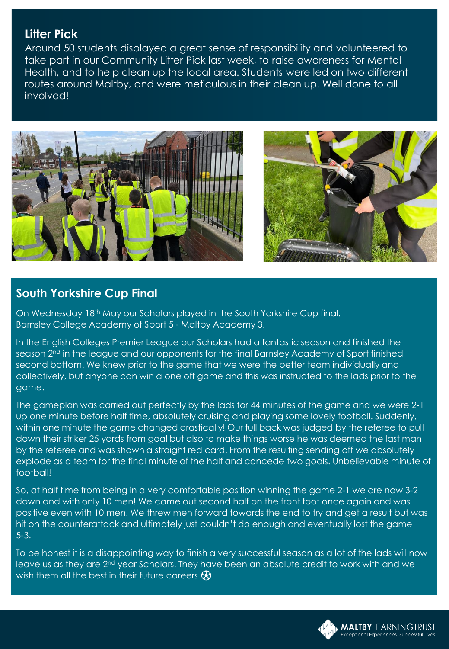#### **Litter Pick**

Around 50 students displayed a great sense of responsibility and volunteered to take part in our Community Litter Pick last week, to raise awareness for Mental Health, and to help clean up the local area. Students were led on two different routes around Maltby, and were meticulous in their clean up. Well done to all involved!





#### **South Yorkshire Cup Final**

On Wednesday 18<sup>th</sup> May our Scholars played in the South Yorkshire Cup final. Barnsley College Academy of Sport 5 - Maltby Academy 3.

In the English Colleges Premier League our Scholars had a fantastic season and finished the season 2nd in the league and our opponents for the final Barnsley Academy of Sport finished second bottom. We knew prior to the game that we were the better team individually and collectively, but anyone can win a one off game and this was instructed to the lads prior to the game.

The gameplan was carried out perfectly by the lads for 44 minutes of the game and we were 2-1 up one minute before half time, absolutely cruising and playing some lovely football. Suddenly, within one minute the game changed drastically! Our full back was judged by the referee to pull down their striker 25 yards from goal but also to make things worse he was deemed the last man by the referee and was shown a straight red card. From the resulting sending off we absolutely explode as a team for the final minute of the half and concede two goals. Unbelievable minute of football!

So, at half time from being in a very comfortable position winning the game 2-1 we are now 3-2 down and with only 10 men! We came out second half on the front foot once again and was positive even with 10 men. We threw men forward towards the end to try and get a result but was hit on the counterattack and ultimately just couldn't do enough and eventually lost the game 5-3.

To be honest it is a disappointing way to finish a very successful season as a lot of the lads will now leave us as they are 2nd year Scholars. They have been an absolute credit to work with and we wish them all the best in their future careers  $\bigcirc$ 

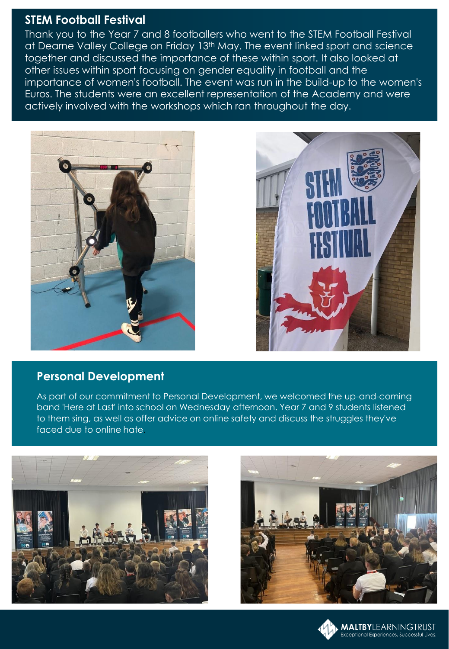#### **STEM Football Festival**

Thank you to the Year 7 and 8 footballers who went to the STEM Football Festival at Dearne Valley College on Friday 13<sup>th</sup> May. The event linked sport and science together and discussed the importance of these within sport. It also looked at other issues within sport focusing on gender equality in football and the importance of women's football. The event was run in the build-up to the women's Euros. The students were an excellent representation of the Academy and were actively involved with the workshops which ran throughout the day.





#### **Personal Development**

As part of our commitment to Personal Development, we welcomed the up-and-coming band 'Here at Last' into school on Wednesday afternoon. Year 7 and 9 students listened to them sing, as well as offer advice on online safety and discuss the struggles they've faced due to online hate.





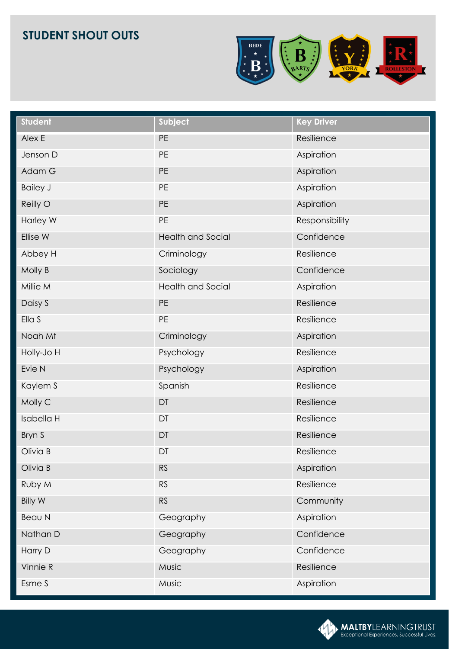

| Student         | Subject                  | <b>Key Driver</b> |
|-----------------|--------------------------|-------------------|
| Alex E          | PE                       | Resilience        |
| Jenson D        | PE                       | Aspiration        |
| Adam G          | PE                       | Aspiration        |
| <b>Bailey J</b> | PE                       | Aspiration        |
| Reilly O        | PE                       | Aspiration        |
| Harley W        | PE                       | Responsibility    |
| Ellise W        | <b>Health and Social</b> | Confidence        |
| Abbey H         | Criminology              | Resilience        |
| Molly B         | Sociology                | Confidence        |
| Millie M        | <b>Health and Social</b> | Aspiration        |
| Daisy S         | PE                       | Resilience        |
| Ella S          | PE                       | Resilience        |
| Noah Mt         | Criminology              | Aspiration        |
| Holly-Jo H      | Psychology               | Resilience        |
| Evie N          | Psychology               | Aspiration        |
| Kaylem S        | Spanish                  | Resilience        |
| Molly C         | DT                       | Resilience        |
| Isabella H      | DT                       | Resilience        |
| Bryn S          | DT                       | Resilience        |
| Olivia B        | DT                       | Resilience        |
| Olivia B        | <b>RS</b>                | Aspiration        |
| Ruby M          | RS                       | Resilience        |
| <b>Billy W</b>  | <b>RS</b>                | Community         |
| Beau N          | Geography                | Aspiration        |
| Nathan D        | Geography                | Confidence        |
| Harry D         | Geography                | Confidence        |
| Vinnie R        | Music                    | Resilience        |
| Esme S          | Music                    | Aspiration        |

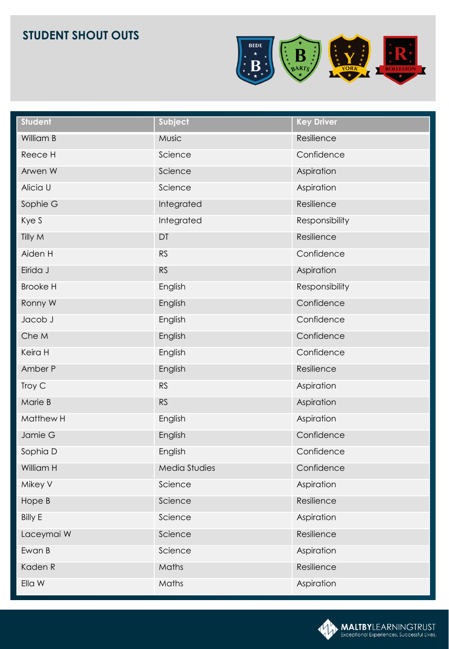

| <b>Student</b>  | Subject              | <b>Key Driver</b> |
|-----------------|----------------------|-------------------|
| William B       | Music                | Resilience        |
| Reece H         | Science              | Confidence        |
| Arwen W         | Science              | Aspiration        |
| Alicia U        | Science              | Aspiration        |
| Sophie G        | Integrated           | Resilience        |
| Kye S           | Integrated           | Responsibility    |
| Tilly M         | DT                   | Resilience        |
| Aiden H         | <b>RS</b>            | Confidence        |
| Eirida J        | <b>RS</b>            | Aspiration        |
| <b>Brooke H</b> | English              | Responsibility    |
| Ronny W         | English              | Confidence        |
| Jacob J         | English              | Confidence        |
| Che M           | English              | Confidence        |
| Keira H         | English              | Confidence        |
| Amber P         | English              | Resilience        |
| Troy C          | <b>RS</b>            | Aspiration        |
| Marie B         | <b>RS</b>            | Aspiration        |
| Matthew H       | English              | Aspiration        |
| Jamie G         | English              | Confidence        |
| Sophia D        | English              | Confidence        |
| William H       | <b>Media Studies</b> | Confidence        |
| Mikey V         | Science              | Aspiration        |
| Hope B          | Science              | Resilience        |
| <b>Billy E</b>  | Science              | Aspiration        |
| Laceymai W      | Science              | Resilience        |
| Ewan B          | Science              | Aspiration        |
| Kaden R         | Maths                | Resilience        |
| Ella W          | Maths                | Aspiration        |

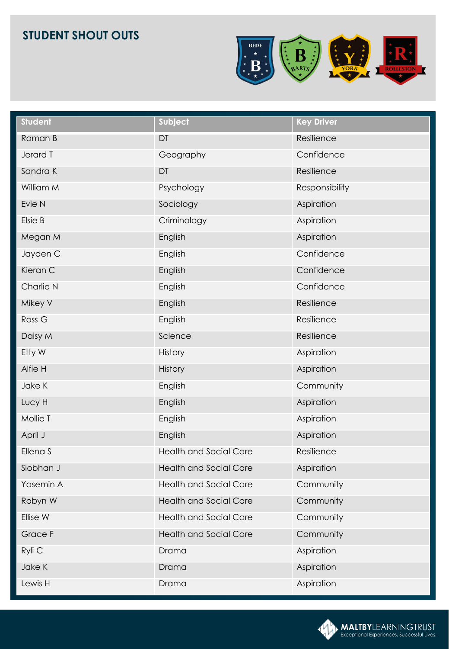

| <b>Student</b>    | Subject                       | <b>Key Driver</b> |
|-------------------|-------------------------------|-------------------|
| Roman B           | DT                            | Resilience        |
| Jerard T          | Geography                     | Confidence        |
| Sandra K          | DT                            | Resilience        |
| William M         | Psychology                    | Responsibility    |
| Evie N            | Sociology                     | Aspiration        |
| Elsie B           | Criminology                   | Aspiration        |
| Megan M           | English                       | Aspiration        |
| Jayden C          | English                       | Confidence        |
| Kieran C          | English                       | Confidence        |
| Charlie N         | English                       | Confidence        |
| Mikey V           | English                       | Resilience        |
| Ross <sub>G</sub> | English                       | Resilience        |
| Daisy M           | Science                       | Resilience        |
| Etty W            | History                       | Aspiration        |
| Alfie H           | <b>History</b>                | Aspiration        |
| Jake K            | English                       | Community         |
| Lucy H            | English                       | Aspiration        |
| Mollie T          | English                       | Aspiration        |
| April J           | English                       | Aspiration        |
| Ellena S          | <b>Health and Social Care</b> | Resilience        |
| Siobhan J         | <b>Health and Social Care</b> | Aspiration        |
| Yasemin A         | <b>Health and Social Care</b> | Community         |
| Robyn W           | <b>Health and Social Care</b> | Community         |
| Ellise W          | <b>Health and Social Care</b> | Community         |
| Grace F           | <b>Health and Social Care</b> | Community         |
| Ryli C            | Drama                         | Aspiration        |
| Jake K            | Drama                         | Aspiration        |
| Lewis H           | Drama                         | Aspiration        |

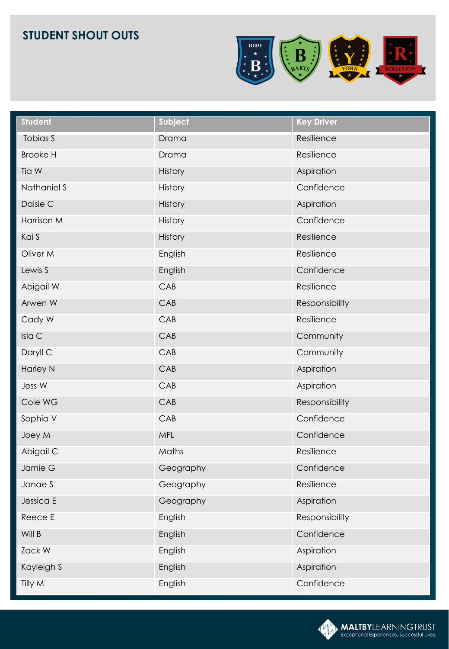

| <b>Student</b>  | Subject        | <b>Key Driver</b> |
|-----------------|----------------|-------------------|
| Tobias S        | Drama          | Resilience        |
| <b>Brooke H</b> | Drama          | Resilience        |
| Tia W           | History        | Aspiration        |
| Nathaniel S     | History        | Confidence        |
| Daisie C        | <b>History</b> | Aspiration        |
| Harrison M      | History        | Confidence        |
| Kai S           | History        | Resilience        |
| Oliver M        | English        | Resilience        |
| Lewis S         | English        | Confidence        |
| Abigail W       | CAB            | Resilience        |
| Arwen W         | CAB            | Responsibility    |
| Cady W          | CAB            | Resilience        |
| Isla C          | CAB            | Community         |
| Daryll C        | CAB            | Community         |
| <b>Harley N</b> | CAB            | Aspiration        |
| Jess W          | CAB            | Aspiration        |
| Cole WG         | CAB            | Responsibility    |
| Sophia V        | CAB            | Confidence        |
| Joey M          | MFL            | Confidence        |
| Abigail C       | Maths          | Resilience        |
| Jamie G         | Geography      | Confidence        |
| Janae S         | Geography      | Resilience        |
| Jessica E       | Geography      | Aspiration        |
| Reece E         | English        | Responsibility    |
| Will B          | English        | Confidence        |
| Zack W          | English        | Aspiration        |
| Kayleigh S      | English        | Aspiration        |
| Tilly M         | English        | Confidence        |